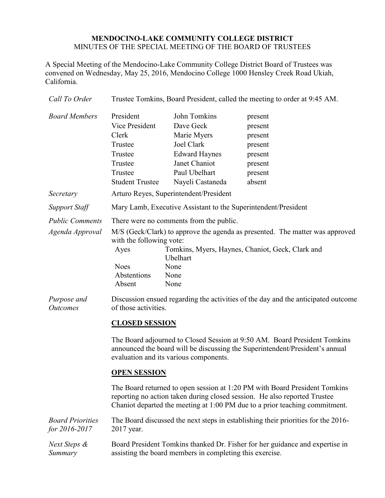## **MENDOCINO-LAKE COMMUNITY COLLEGE DISTRICT** MINUTES OF THE SPECIAL MEETING OF THE BOARD OF TRUSTEES

A Special Meeting of the Mendocino-Lake Community College District Board of Trustees was convened on Wednesday, May 25, 2016, Mendocino College 1000 Hensley Creek Road Ukiah, California.

| Call To Order                             | Trustee Tomkins, Board President, called the meeting to order at 9:45 AM.                                                                                                                                                                                                                   |                                                                                                                                                                                                                                                                                                                                                                                                                                                                                                                             |                                                                                     |  |
|-------------------------------------------|---------------------------------------------------------------------------------------------------------------------------------------------------------------------------------------------------------------------------------------------------------------------------------------------|-----------------------------------------------------------------------------------------------------------------------------------------------------------------------------------------------------------------------------------------------------------------------------------------------------------------------------------------------------------------------------------------------------------------------------------------------------------------------------------------------------------------------------|-------------------------------------------------------------------------------------|--|
| <b>Board Members</b>                      | President<br><b>Vice President</b><br>Clerk<br>Trustee<br>Trustee<br>Trustee<br>Trustee<br><b>Student Trustee</b>                                                                                                                                                                           | John Tomkins<br>Dave Geck<br>Marie Myers<br><b>Joel Clark</b><br><b>Edward Haynes</b><br>Janet Chaniot<br>Paul Ubelhart<br>Nayeli Castaneda                                                                                                                                                                                                                                                                                                                                                                                 | present<br>present<br>present<br>present<br>present<br>present<br>present<br>absent |  |
| Secretary                                 | Arturo Reyes, Superintendent/President                                                                                                                                                                                                                                                      |                                                                                                                                                                                                                                                                                                                                                                                                                                                                                                                             |                                                                                     |  |
| <b>Support Staff</b>                      | Mary Lamb, Executive Assistant to the Superintendent/President                                                                                                                                                                                                                              |                                                                                                                                                                                                                                                                                                                                                                                                                                                                                                                             |                                                                                     |  |
| <b>Public Comments</b><br>Agenda Approval | There were no comments from the public.<br>M/S (Geck/Clark) to approve the agenda as presented. The matter was approved<br>with the following vote:<br>Tomkins, Myers, Haynes, Chaniot, Geck, Clark and<br>Ayes<br>Ubelhart<br><b>Noes</b><br>None<br>Abstentions<br>None<br>Absent<br>None |                                                                                                                                                                                                                                                                                                                                                                                                                                                                                                                             |                                                                                     |  |
| Purpose and<br><b>Outcomes</b>            |                                                                                                                                                                                                                                                                                             | Discussion ensued regarding the activities of the day and the anticipated outcome<br>of those activities.<br><b>CLOSED SESSION</b><br>The Board adjourned to Closed Session at 9:50 AM. Board President Tomkins<br>announced the board will be discussing the Superintendent/President's annual<br>evaluation and its various components.<br><b>OPEN SESSION</b><br>The Board returned to open session at 1:20 PM with Board President Tomkins<br>reporting no action taken during closed session. He also reported Trustee |                                                                                     |  |

*Board Priorities for 2016-2017* The Board discussed the next steps in establishing their priorities for the 2016- 2017 year. *Next Steps &*  Board President Tomkins thanked Dr. Fisher for her guidance and expertise in

Chaniot departed the meeting at 1:00 PM due to a prior teaching commitment.

*Summary* assisting the board members in completing this exercise.